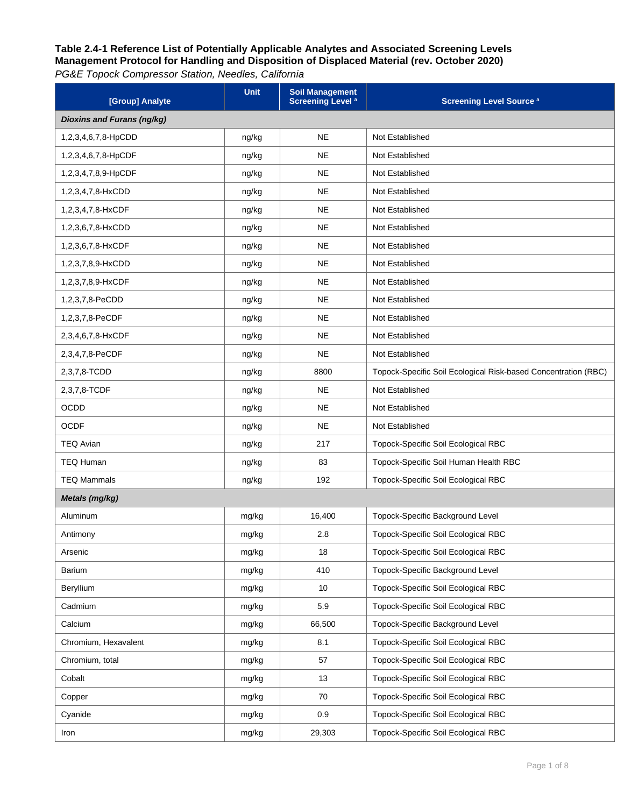| [Group] Analyte            | <b>Unit</b> | <b>Soil Management</b><br><b>Screening Level</b> <sup>a</sup> | <b>Screening Level Source<sup>a</sup></b>                      |  |  |
|----------------------------|-------------|---------------------------------------------------------------|----------------------------------------------------------------|--|--|
| Dioxins and Furans (ng/kg) |             |                                                               |                                                                |  |  |
| 1,2,3,4,6,7,8-HpCDD        | ng/kg       | <b>NE</b>                                                     | Not Established                                                |  |  |
| 1,2,3,4,6,7,8-HpCDF        | ng/kg       | <b>NE</b>                                                     | Not Established                                                |  |  |
| 1,2,3,4,7,8,9-HpCDF        | ng/kg       | <b>NE</b>                                                     | Not Established                                                |  |  |
| 1,2,3,4,7,8-HxCDD          | ng/kg       | <b>NE</b>                                                     | Not Established                                                |  |  |
| 1,2,3,4,7,8-HxCDF          | ng/kg       | <b>NE</b>                                                     | Not Established                                                |  |  |
| 1,2,3,6,7,8-HxCDD          | ng/kg       | <b>NE</b>                                                     | Not Established                                                |  |  |
| 1,2,3,6,7,8-HxCDF          | ng/kg       | <b>NE</b>                                                     | Not Established                                                |  |  |
| 1,2,3,7,8,9-HxCDD          | ng/kg       | <b>NE</b>                                                     | Not Established                                                |  |  |
| 1,2,3,7,8,9-HxCDF          | ng/kg       | <b>NE</b>                                                     | Not Established                                                |  |  |
| 1,2,3,7,8-PeCDD            | ng/kg       | <b>NE</b>                                                     | Not Established                                                |  |  |
| 1,2,3,7,8-PeCDF            | ng/kg       | <b>NE</b>                                                     | Not Established                                                |  |  |
| 2,3,4,6,7,8-HxCDF          | ng/kg       | <b>NE</b>                                                     | Not Established                                                |  |  |
| 2,3,4,7,8-PeCDF            | ng/kg       | <b>NE</b>                                                     | Not Established                                                |  |  |
| 2,3,7,8-TCDD               | ng/kg       | 8800                                                          | Topock-Specific Soil Ecological Risk-based Concentration (RBC) |  |  |
| 2,3,7,8-TCDF               | ng/kg       | <b>NE</b>                                                     | Not Established                                                |  |  |
| <b>OCDD</b>                | ng/kg       | <b>NE</b>                                                     | Not Established                                                |  |  |
| <b>OCDF</b>                | ng/kg       | <b>NE</b>                                                     | Not Established                                                |  |  |
| <b>TEQ Avian</b>           | ng/kg       | 217                                                           | Topock-Specific Soil Ecological RBC                            |  |  |
| <b>TEQ Human</b>           | ng/kg       | 83                                                            | Topock-Specific Soil Human Health RBC                          |  |  |
| <b>TEQ Mammals</b>         | ng/kg       | 192                                                           | Topock-Specific Soil Ecological RBC                            |  |  |
| Metals (mg/kg)             |             |                                                               |                                                                |  |  |
| Aluminum                   | mg/kg       | 16,400                                                        | Topock-Specific Background Level                               |  |  |
| Antimony                   | mg/kg       | 2.8                                                           | Topock-Specific Soil Ecological RBC                            |  |  |
| Arsenic                    | mg/kg       | 18                                                            | Topock-Specific Soil Ecological RBC                            |  |  |
| Barium                     | mg/kg       | 410                                                           | Topock-Specific Background Level                               |  |  |
| Beryllium                  | mg/kg       | 10                                                            | Topock-Specific Soil Ecological RBC                            |  |  |
| Cadmium                    | mg/kg       | 5.9                                                           | Topock-Specific Soil Ecological RBC                            |  |  |
| Calcium                    | mg/kg       | 66,500                                                        | Topock-Specific Background Level                               |  |  |
| Chromium, Hexavalent       | mg/kg       | 8.1                                                           | Topock-Specific Soil Ecological RBC                            |  |  |
| Chromium, total            | mg/kg       | 57                                                            | Topock-Specific Soil Ecological RBC                            |  |  |
| Cobalt                     | mg/kg       | 13                                                            | Topock-Specific Soil Ecological RBC                            |  |  |
| Copper                     | mg/kg       | 70                                                            | Topock-Specific Soil Ecological RBC                            |  |  |
| Cyanide                    | mg/kg       | 0.9                                                           | Topock-Specific Soil Ecological RBC                            |  |  |
| Iron                       | mg/kg       | 29,303                                                        | Topock-Specific Soil Ecological RBC                            |  |  |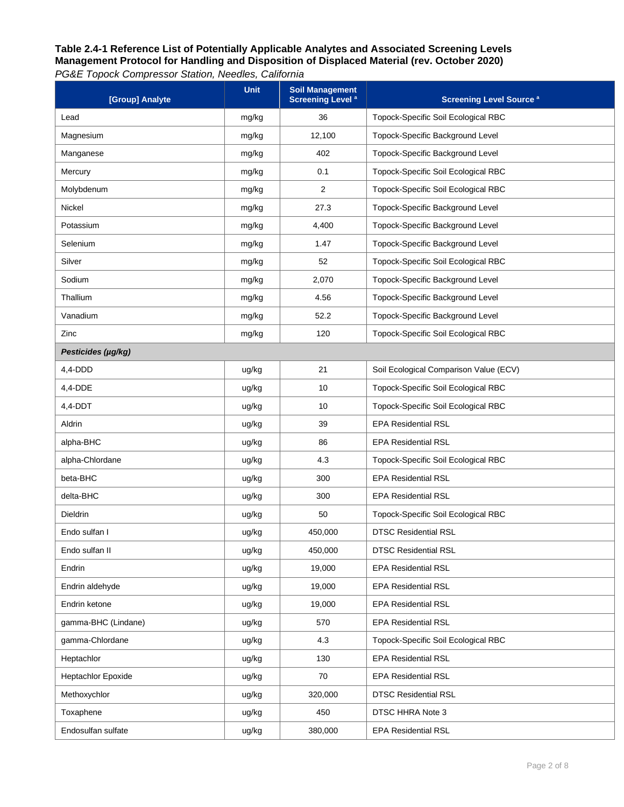| [Group] Analyte     | <b>Unit</b> | <b>Soil Management</b><br><b>Screening Level<sup>a</sup></b> | <b>Screening Level Source a</b>            |
|---------------------|-------------|--------------------------------------------------------------|--------------------------------------------|
| Lead                | mg/kg       | 36                                                           | Topock-Specific Soil Ecological RBC        |
| Magnesium           | mg/kg       | 12,100                                                       | Topock-Specific Background Level           |
| Manganese           | mg/kg       | 402                                                          | Topock-Specific Background Level           |
| Mercury             | mg/kg       | 0.1                                                          | Topock-Specific Soil Ecological RBC        |
| Molybdenum          | mg/kg       | $\overline{2}$                                               | Topock-Specific Soil Ecological RBC        |
| Nickel              | mg/kg       | 27.3                                                         | Topock-Specific Background Level           |
| Potassium           | mg/kg       | 4,400                                                        | Topock-Specific Background Level           |
| Selenium            | mg/kg       | 1.47                                                         | Topock-Specific Background Level           |
| Silver              | mg/kg       | 52                                                           | Topock-Specific Soil Ecological RBC        |
| Sodium              | mg/kg       | 2,070                                                        | Topock-Specific Background Level           |
| Thallium            | mg/kg       | 4.56                                                         | Topock-Specific Background Level           |
| Vanadium            | mg/kg       | 52.2                                                         | Topock-Specific Background Level           |
| Zinc                | mg/kg       | 120                                                          | Topock-Specific Soil Ecological RBC        |
| Pesticides (µg/kg)  |             |                                                              |                                            |
| 4,4-DDD             | ug/kg       | 21                                                           | Soil Ecological Comparison Value (ECV)     |
| 4,4-DDE             | ug/kg       | 10                                                           | Topock-Specific Soil Ecological RBC        |
| 4,4-DDT             | ug/kg       | 10                                                           | Topock-Specific Soil Ecological RBC        |
| Aldrin              | ug/kg       | 39                                                           | <b>EPA Residential RSL</b>                 |
| alpha-BHC           | ug/kg       | 86                                                           | <b>EPA Residential RSL</b>                 |
| alpha-Chlordane     | ug/kg       | 4.3                                                          | Topock-Specific Soil Ecological RBC        |
| beta-BHC            | ug/kg       | 300                                                          | <b>EPA Residential RSL</b>                 |
| delta-BHC           | ug/kg       | 300                                                          | <b>EPA Residential RSL</b>                 |
| Dieldrin            | ug/kg       | 50                                                           | <b>Topock-Specific Soil Ecological RBC</b> |
| Endo sulfan I       | ug/kg       | 450,000                                                      | <b>DTSC Residential RSL</b>                |
| Endo sulfan II      | ug/kg       | 450,000                                                      | <b>DTSC Residential RSL</b>                |
| Endrin              | ug/kg       | 19,000                                                       | <b>EPA Residential RSL</b>                 |
| Endrin aldehyde     | ug/kg       | 19,000                                                       | <b>EPA Residential RSL</b>                 |
| Endrin ketone       | ug/kg       | 19,000                                                       | <b>EPA Residential RSL</b>                 |
| gamma-BHC (Lindane) | ug/kg       | 570                                                          | <b>EPA Residential RSL</b>                 |
| gamma-Chlordane     | ug/kg       | 4.3                                                          | Topock-Specific Soil Ecological RBC        |
| Heptachlor          | ug/kg       | 130                                                          | <b>EPA Residential RSL</b>                 |
| Heptachlor Epoxide  | ug/kg       | 70                                                           | <b>EPA Residential RSL</b>                 |
| Methoxychlor        | ug/kg       | 320,000                                                      | <b>DTSC Residential RSL</b>                |
| Toxaphene           | ug/kg       | 450                                                          | DTSC HHRA Note 3                           |
| Endosulfan sulfate  | ug/kg       | 380,000                                                      | <b>EPA Residential RSL</b>                 |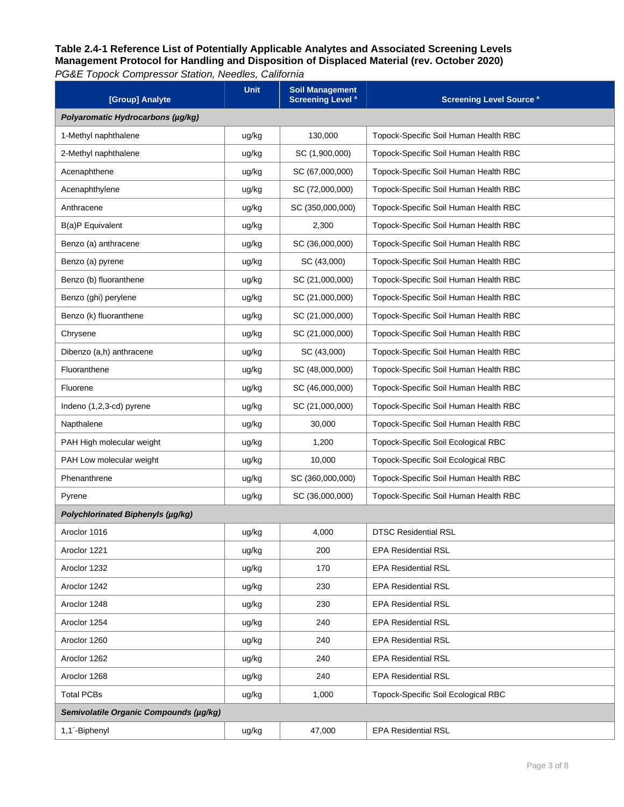| [Group] Analyte                        | <b>Unit</b> | <b>Soil Management</b><br><b>Screening Level</b> <sup>a</sup> | <b>Screening Level Source a</b>       |  |  |
|----------------------------------------|-------------|---------------------------------------------------------------|---------------------------------------|--|--|
| Polyaromatic Hydrocarbons (µq/kq)      |             |                                                               |                                       |  |  |
| 1-Methyl naphthalene                   | ug/kg       | 130,000                                                       | Topock-Specific Soil Human Health RBC |  |  |
| 2-Methyl naphthalene                   | ug/kg       | SC (1,900,000)                                                | Topock-Specific Soil Human Health RBC |  |  |
| Acenaphthene                           | ug/kg       | SC (67,000,000)                                               | Topock-Specific Soil Human Health RBC |  |  |
| Acenaphthylene                         | ug/kg       | SC (72,000,000)                                               | Topock-Specific Soil Human Health RBC |  |  |
| Anthracene                             | ug/kg       | SC (350,000,000)                                              | Topock-Specific Soil Human Health RBC |  |  |
| B(a)P Equivalent                       | ug/kg       | 2,300                                                         | Topock-Specific Soil Human Health RBC |  |  |
| Benzo (a) anthracene                   | ug/kg       | SC (36,000,000)                                               | Topock-Specific Soil Human Health RBC |  |  |
| Benzo (a) pyrene                       | ug/kg       | SC (43,000)                                                   | Topock-Specific Soil Human Health RBC |  |  |
| Benzo (b) fluoranthene                 | ug/kg       | SC (21,000,000)                                               | Topock-Specific Soil Human Health RBC |  |  |
| Benzo (ghi) perylene                   | ug/kg       | SC (21,000,000)                                               | Topock-Specific Soil Human Health RBC |  |  |
| Benzo (k) fluoranthene                 | ug/kg       | SC (21,000,000)                                               | Topock-Specific Soil Human Health RBC |  |  |
| Chrysene                               | ug/kg       | SC (21,000,000)                                               | Topock-Specific Soil Human Health RBC |  |  |
| Dibenzo (a,h) anthracene               | ug/kg       | SC (43,000)                                                   | Topock-Specific Soil Human Health RBC |  |  |
| Fluoranthene                           | ug/kg       | SC (48,000,000)                                               | Topock-Specific Soil Human Health RBC |  |  |
| Fluorene                               | ug/kg       | SC (46,000,000)                                               | Topock-Specific Soil Human Health RBC |  |  |
| Indeno (1,2,3-cd) pyrene               | ug/kg       | SC (21,000,000)                                               | Topock-Specific Soil Human Health RBC |  |  |
| Napthalene                             | ug/kg       | 30,000                                                        | Topock-Specific Soil Human Health RBC |  |  |
| PAH High molecular weight              | ug/kg       | 1,200                                                         | Topock-Specific Soil Ecological RBC   |  |  |
| PAH Low molecular weight               | ug/kg       | 10,000                                                        | Topock-Specific Soil Ecological RBC   |  |  |
| Phenanthrene                           | ug/kg       | SC (360,000,000)                                              | Topock-Specific Soil Human Health RBC |  |  |
| Pyrene                                 | ug/kg       | SC (36,000,000)                                               | Topock-Specific Soil Human Health RBC |  |  |
| Polychlorinated Biphenyls (µg/kg)      |             |                                                               |                                       |  |  |
| Aroclor 1016                           | ug/kg       | 4,000                                                         | <b>DTSC Residential RSL</b>           |  |  |
| Aroclor 1221                           | ug/kg       | 200                                                           | <b>EPA Residential RSL</b>            |  |  |
| Aroclor 1232                           | ug/kg       | 170                                                           | <b>EPA Residential RSL</b>            |  |  |
| Aroclor 1242                           | ug/kg       | 230                                                           | <b>EPA Residential RSL</b>            |  |  |
| Aroclor 1248                           | ug/kg       | 230                                                           | <b>EPA Residential RSL</b>            |  |  |
| Aroclor 1254                           | ug/kg       | 240                                                           | <b>EPA Residential RSL</b>            |  |  |
| Aroclor 1260                           | ug/kg       | 240                                                           | <b>EPA Residential RSL</b>            |  |  |
| Aroclor 1262                           | ug/kg       | 240                                                           | <b>EPA Residential RSL</b>            |  |  |
| Aroclor 1268                           | ug/kg       | 240                                                           | <b>EPA Residential RSL</b>            |  |  |
| <b>Total PCBs</b>                      | ug/kg       | 1,000                                                         | Topock-Specific Soil Ecological RBC   |  |  |
| Semivolatile Organic Compounds (µg/kg) |             |                                                               |                                       |  |  |
| 1,1'-Biphenyl                          | ug/kg       | 47,000                                                        | <b>EPA Residential RSL</b>            |  |  |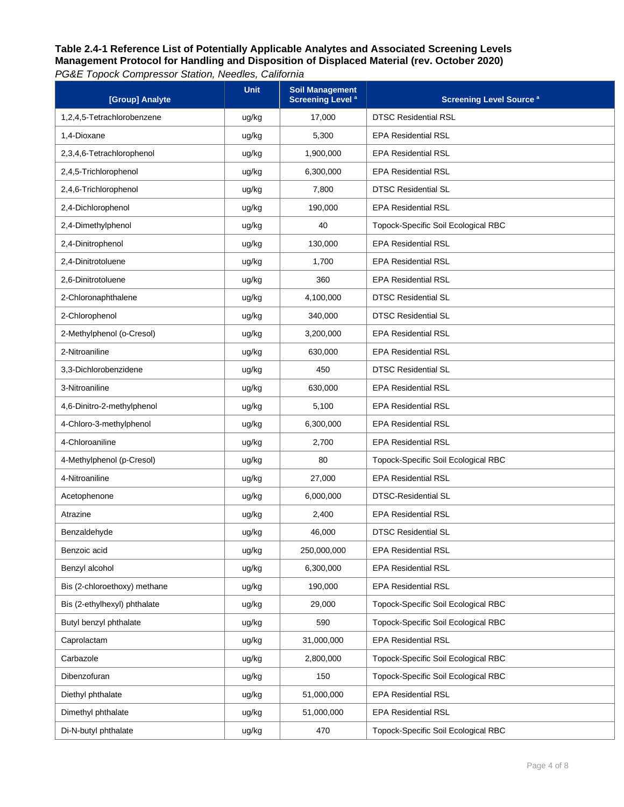| [Group] Analyte              | <b>Unit</b> | <b>Soil Management</b><br><b>Screening Level<sup>a</sup></b> | <b>Screening Level Source<sup>a</sup></b> |
|------------------------------|-------------|--------------------------------------------------------------|-------------------------------------------|
| 1,2,4,5-Tetrachlorobenzene   | ug/kg       | 17,000                                                       | <b>DTSC Residential RSL</b>               |
| 1.4-Dioxane                  | ug/kg       | 5,300                                                        | <b>EPA Residential RSL</b>                |
| 2,3,4,6-Tetrachlorophenol    | ug/kg       | 1,900,000                                                    | <b>EPA Residential RSL</b>                |
| 2,4,5-Trichlorophenol        | ug/kg       | 6,300,000                                                    | <b>EPA Residential RSL</b>                |
| 2,4,6-Trichlorophenol        | ug/kg       | 7,800                                                        | <b>DTSC Residential SL</b>                |
| 2,4-Dichlorophenol           | ug/kg       | 190,000                                                      | <b>EPA Residential RSL</b>                |
| 2,4-Dimethylphenol           | ug/kg       | 40                                                           | Topock-Specific Soil Ecological RBC       |
| 2,4-Dinitrophenol            | ug/kg       | 130,000                                                      | <b>EPA Residential RSL</b>                |
| 2,4-Dinitrotoluene           | ug/kg       | 1,700                                                        | <b>EPA Residential RSL</b>                |
| 2,6-Dinitrotoluene           | ug/kg       | 360                                                          | <b>EPA Residential RSL</b>                |
| 2-Chloronaphthalene          | ug/kg       | 4,100,000                                                    | <b>DTSC Residential SL</b>                |
| 2-Chlorophenol               | ug/kg       | 340,000                                                      | <b>DTSC Residential SL</b>                |
| 2-Methylphenol (o-Cresol)    | ug/kg       | 3,200,000                                                    | <b>EPA Residential RSL</b>                |
| 2-Nitroaniline               | ug/kg       | 630,000                                                      | <b>EPA Residential RSL</b>                |
| 3,3-Dichlorobenzidene        | ug/kg       | 450                                                          | <b>DTSC Residential SL</b>                |
| 3-Nitroaniline               | ug/kg       | 630,000                                                      | <b>EPA Residential RSL</b>                |
| 4,6-Dinitro-2-methylphenol   | ug/kg       | 5,100                                                        | <b>EPA Residential RSL</b>                |
| 4-Chloro-3-methylphenol      | ug/kg       | 6,300,000                                                    | <b>EPA Residential RSL</b>                |
| 4-Chloroaniline              | ug/kg       | 2,700                                                        | <b>EPA Residential RSL</b>                |
| 4-Methylphenol (p-Cresol)    | ug/kg       | 80                                                           | Topock-Specific Soil Ecological RBC       |
| 4-Nitroaniline               | ug/kg       | 27,000                                                       | <b>EPA Residential RSL</b>                |
| Acetophenone                 | ug/kg       | 6,000,000                                                    | <b>DTSC-Residential SL</b>                |
| Atrazine                     | ug/kg       | 2,400                                                        | <b>EPA Residential RSL</b>                |
| Benzaldehyde                 | ug/kg       | 46,000                                                       | <b>DTSC Residential SL</b>                |
| Benzoic acid                 | ug/kg       | 250,000,000                                                  | <b>EPA Residential RSL</b>                |
| Benzyl alcohol               | ug/kg       | 6,300,000                                                    | <b>EPA Residential RSL</b>                |
| Bis (2-chloroethoxy) methane | ug/kg       | 190,000                                                      | <b>EPA Residential RSL</b>                |
| Bis (2-ethylhexyl) phthalate | ug/kg       | 29,000                                                       | Topock-Specific Soil Ecological RBC       |
| Butyl benzyl phthalate       | ug/kg       | 590                                                          | Topock-Specific Soil Ecological RBC       |
| Caprolactam                  | ug/kg       | 31,000,000                                                   | <b>EPA Residential RSL</b>                |
| Carbazole                    | ug/kg       | 2,800,000                                                    | Topock-Specific Soil Ecological RBC       |
| Dibenzofuran                 | ug/kg       | 150                                                          | Topock-Specific Soil Ecological RBC       |
| Diethyl phthalate            | ug/kg       | 51,000,000                                                   | <b>EPA Residential RSL</b>                |
| Dimethyl phthalate           | ug/kg       | 51,000,000                                                   | <b>EPA Residential RSL</b>                |
| Di-N-butyl phthalate         | ug/kg       | 470                                                          | Topock-Specific Soil Ecological RBC       |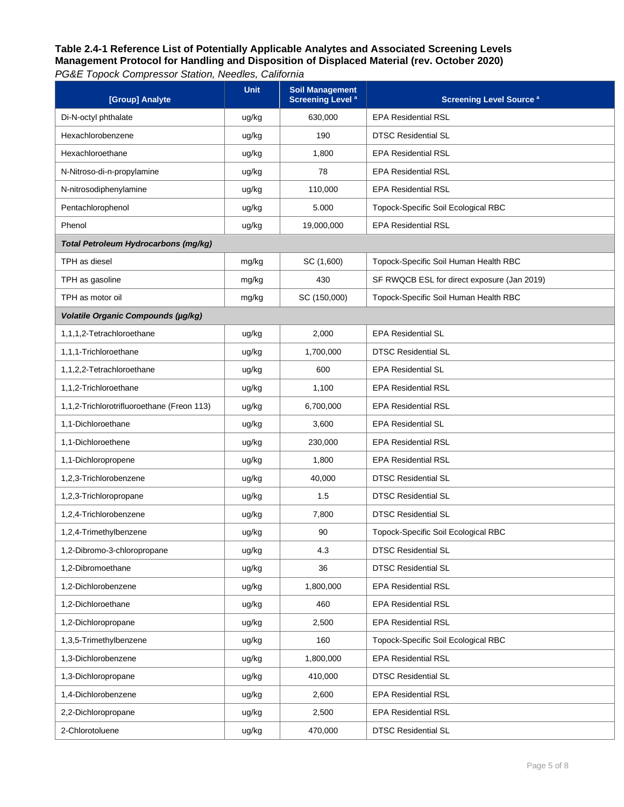*PG&E Topock Compressor Station, Needles, California*

| [Group] Analyte                            | Unit  | <b>Soil Management</b><br><b>Screening Level<sup>a</sup></b> | <b>Screening Level Source a</b>             |
|--------------------------------------------|-------|--------------------------------------------------------------|---------------------------------------------|
| Di-N-octyl phthalate                       | ug/kg | 630.000                                                      | <b>EPA Residential RSL</b>                  |
| Hexachlorobenzene                          | ug/kg | 190                                                          | <b>DTSC Residential SL</b>                  |
| Hexachloroethane                           | ug/kg | 1,800                                                        | <b>EPA Residential RSL</b>                  |
| N-Nitroso-di-n-propylamine                 | ug/kg | 78                                                           | <b>EPA Residential RSL</b>                  |
| N-nitrosodiphenylamine                     | ug/kg | 110,000                                                      | <b>EPA Residential RSL</b>                  |
| Pentachlorophenol                          | ug/kg | 5.000                                                        | Topock-Specific Soil Ecological RBC         |
| Phenol                                     | ug/kg | 19,000,000                                                   | <b>EPA Residential RSL</b>                  |
| Total Petroleum Hydrocarbons (mg/kg)       |       |                                                              |                                             |
| TPH as diesel                              | mg/kg | SC (1,600)                                                   | Topock-Specific Soil Human Health RBC       |
| TPH as gasoline                            | mg/kg | 430                                                          | SF RWQCB ESL for direct exposure (Jan 2019) |
| TPH as motor oil                           | mg/kg | SC (150,000)                                                 | Topock-Specific Soil Human Health RBC       |
| Volatile Organic Compounds (µg/kg)         |       |                                                              |                                             |
| 1,1,1,2-Tetrachloroethane                  | ug/kg | 2,000                                                        | <b>EPA Residential SL</b>                   |
| 1,1,1-Trichloroethane                      | ug/kg | 1,700,000                                                    | <b>DTSC Residential SL</b>                  |
| 1.1.2.2-Tetrachloroethane                  | ug/kg | 600                                                          | <b>EPA Residential SL</b>                   |
| 1,1,2-Trichloroethane                      | ug/kg | 1,100                                                        | <b>EPA Residential RSL</b>                  |
| 1,1,2-Trichlorotrifluoroethane (Freon 113) | ug/kg | 6,700,000                                                    | <b>EPA Residential RSL</b>                  |
| 1,1-Dichloroethane                         | ug/kg | 3,600                                                        | <b>EPA Residential SL</b>                   |
| 1,1-Dichloroethene                         | ug/kg | 230,000                                                      | <b>EPA Residential RSL</b>                  |
| 1,1-Dichloropropene                        | ug/kg | 1,800                                                        | <b>EPA Residential RSL</b>                  |
| 1,2,3-Trichlorobenzene                     | ug/kg | 40,000                                                       | <b>DTSC Residential SL</b>                  |
| 1,2,3-Trichloropropane                     | ug/kg | 1.5                                                          | <b>DTSC Residential SL</b>                  |
| 1,2,4-Trichlorobenzene                     | ug/kg | 7,800                                                        | <b>DTSC Residential SL</b>                  |
| 1,2,4-Trimethylbenzene                     | ug/kg | 90                                                           | Topock-Specific Soil Ecological RBC         |
| 1,2-Dibromo-3-chloropropane                | ug/kg | 4.3                                                          | <b>DTSC Residential SL</b>                  |
| 1,2-Dibromoethane                          | ug/kg | 36                                                           | <b>DTSC Residential SL</b>                  |
| 1,2-Dichlorobenzene                        | ug/kg | 1,800,000                                                    | <b>EPA Residential RSL</b>                  |
| 1,2-Dichloroethane                         | ug/kg | 460                                                          | <b>EPA Residential RSL</b>                  |
| 1,2-Dichloropropane                        | ug/kg | 2,500                                                        | <b>EPA Residential RSL</b>                  |
| 1,3,5-Trimethylbenzene                     | ug/kg | 160                                                          | Topock-Specific Soil Ecological RBC         |
| 1,3-Dichlorobenzene                        | ug/kg | 1,800,000                                                    | <b>EPA Residential RSL</b>                  |
| 1,3-Dichloropropane                        | ug/kg | 410,000                                                      | <b>DTSC Residential SL</b>                  |
| 1,4-Dichlorobenzene                        | ug/kg | 2,600                                                        | <b>EPA Residential RSL</b>                  |
| 2,2-Dichloropropane                        | ug/kg | 2,500                                                        | <b>EPA Residential RSL</b>                  |
| 2-Chlorotoluene                            | ug/kg | 470,000                                                      | <b>DTSC Residential SL</b>                  |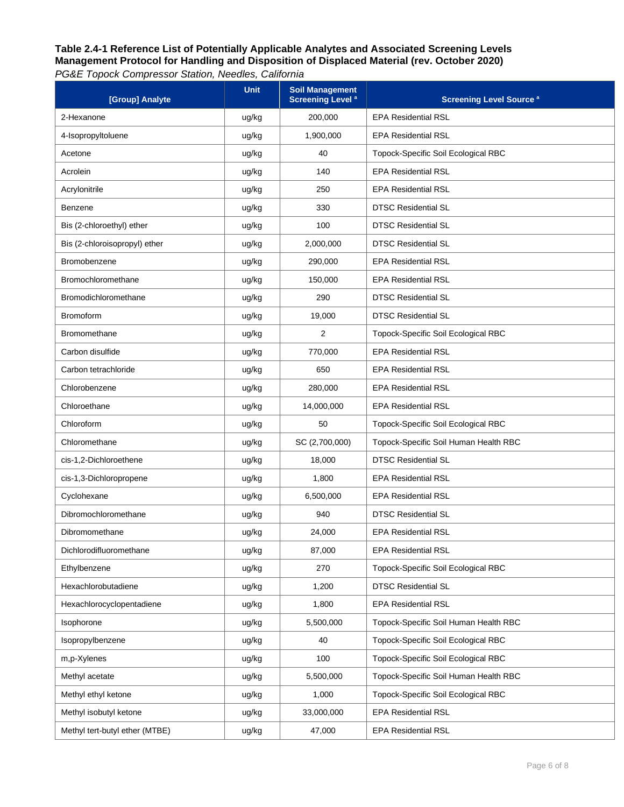| [Group] Analyte                | <b>Unit</b> | <b>Soil Management</b><br><b>Screening Level<sup>a</sup></b> | <b>Screening Level Source a</b>       |
|--------------------------------|-------------|--------------------------------------------------------------|---------------------------------------|
| 2-Hexanone                     | ug/kg       | 200,000                                                      | <b>EPA Residential RSL</b>            |
| 4-Isopropyltoluene             | ug/kg       | 1,900,000                                                    | <b>EPA Residential RSL</b>            |
| Acetone                        | ug/kg       | 40                                                           | Topock-Specific Soil Ecological RBC   |
| Acrolein                       | ug/kg       | 140                                                          | <b>EPA Residential RSL</b>            |
| Acrylonitrile                  | ug/kg       | 250                                                          | <b>EPA Residential RSL</b>            |
| Benzene                        | ug/kg       | 330                                                          | <b>DTSC Residential SL</b>            |
| Bis (2-chloroethyl) ether      | ug/kg       | 100                                                          | <b>DTSC Residential SL</b>            |
| Bis (2-chloroisopropyl) ether  | ug/kg       | 2,000,000                                                    | <b>DTSC Residential SL</b>            |
| Bromobenzene                   | ug/kg       | 290,000                                                      | <b>EPA Residential RSL</b>            |
| Bromochloromethane             | ug/kg       | 150,000                                                      | <b>EPA Residential RSL</b>            |
| Bromodichloromethane           | ug/kg       | 290                                                          | <b>DTSC Residential SL</b>            |
| <b>Bromoform</b>               | ug/kg       | 19,000                                                       | <b>DTSC Residential SL</b>            |
| <b>Bromomethane</b>            | ug/kg       | 2                                                            | Topock-Specific Soil Ecological RBC   |
| Carbon disulfide               | ug/kg       | 770,000                                                      | <b>EPA Residential RSL</b>            |
| Carbon tetrachloride           | ug/kg       | 650                                                          | <b>EPA Residential RSL</b>            |
| Chlorobenzene                  | ug/kg       | 280,000                                                      | <b>EPA Residential RSL</b>            |
| Chloroethane                   | ug/kg       | 14,000,000                                                   | <b>EPA Residential RSL</b>            |
| Chloroform                     | ug/kg       | 50                                                           | Topock-Specific Soil Ecological RBC   |
| Chloromethane                  | ug/kg       | SC (2,700,000)                                               | Topock-Specific Soil Human Health RBC |
| cis-1,2-Dichloroethene         | ug/kg       | 18,000                                                       | <b>DTSC Residential SL</b>            |
| cis-1,3-Dichloropropene        | ug/kg       | 1,800                                                        | <b>EPA Residential RSL</b>            |
| Cyclohexane                    | ug/kg       | 6,500,000                                                    | <b>EPA Residential RSL</b>            |
| Dibromochloromethane           | ug/kg       | 940                                                          | <b>DTSC Residential SL</b>            |
| Dibromomethane                 | ug/kg       | 24,000                                                       | <b>EPA Residential RSL</b>            |
| Dichlorodifluoromethane        | ug/kg       | 87,000                                                       | <b>EPA Residential RSL</b>            |
| Ethylbenzene                   | ug/kg       | 270                                                          | Topock-Specific Soil Ecological RBC   |
| Hexachlorobutadiene            | ug/kg       | 1,200                                                        | <b>DTSC Residential SL</b>            |
| Hexachlorocyclopentadiene      | ug/kg       | 1,800                                                        | <b>EPA Residential RSL</b>            |
| Isophorone                     | ug/kg       | 5,500,000                                                    | Topock-Specific Soil Human Health RBC |
| Isopropylbenzene               | ug/kg       | 40                                                           | Topock-Specific Soil Ecological RBC   |
| m,p-Xylenes                    | ug/kg       | 100                                                          | Topock-Specific Soil Ecological RBC   |
| Methyl acetate                 | ug/kg       | 5,500,000                                                    | Topock-Specific Soil Human Health RBC |
| Methyl ethyl ketone            | ug/kg       | 1,000                                                        | Topock-Specific Soil Ecological RBC   |
| Methyl isobutyl ketone         | ug/kg       | 33,000,000                                                   | <b>EPA Residential RSL</b>            |
| Methyl tert-butyl ether (MTBE) | ug/kg       | 47,000                                                       | <b>EPA Residential RSL</b>            |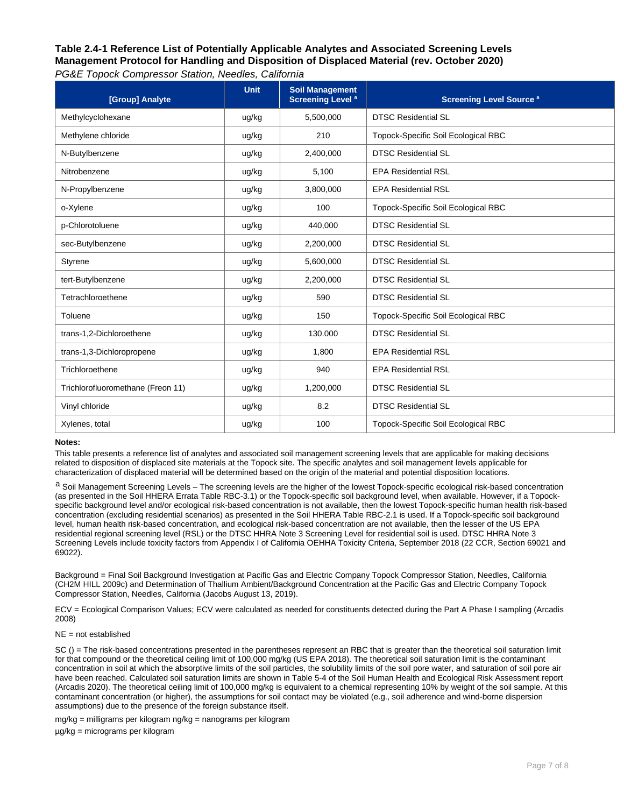| PG&E Topock Compressor Station, Needles, California |  |
|-----------------------------------------------------|--|
|                                                     |  |

| [Group] Analyte                   | <b>Unit</b> | <b>Soil Management</b><br><b>Screening Level<sup>a</sup></b> | <b>Screening Level Source a</b>            |
|-----------------------------------|-------------|--------------------------------------------------------------|--------------------------------------------|
| Methylcyclohexane                 | ug/kg       | 5,500,000                                                    | <b>DTSC Residential SL</b>                 |
| Methylene chloride                | ug/kg       | 210                                                          | Topock-Specific Soil Ecological RBC        |
| N-Butylbenzene                    | ug/kg       | 2,400,000                                                    | <b>DTSC Residential SL</b>                 |
| Nitrobenzene                      | ug/kg       | 5,100                                                        | <b>EPA Residential RSL</b>                 |
| N-Propylbenzene                   | ug/kg       | 3,800,000                                                    | <b>EPA Residential RSL</b>                 |
| o-Xylene                          | ug/kg       | 100                                                          | Topock-Specific Soil Ecological RBC        |
| p-Chlorotoluene                   | ug/kg       | 440,000                                                      | <b>DTSC Residential SL</b>                 |
| sec-Butylbenzene                  | ug/kg       | 2,200,000                                                    | <b>DTSC Residential SL</b>                 |
| Styrene                           | ug/kg       | 5,600,000                                                    | <b>DTSC Residential SL</b>                 |
| tert-Butylbenzene                 | ug/kg       | 2,200,000                                                    | <b>DTSC Residential SL</b>                 |
| Tetrachloroethene                 | ug/kg       | 590                                                          | <b>DTSC Residential SL</b>                 |
| Toluene                           | ug/kg       | 150                                                          | <b>Topock-Specific Soil Ecological RBC</b> |
| trans-1,2-Dichloroethene          | ug/kg       | 130,000                                                      | <b>DTSC Residential SL</b>                 |
| trans-1,3-Dichloropropene         | ug/kg       | 1,800                                                        | <b>EPA Residential RSL</b>                 |
| Trichloroethene                   | ug/kg       | 940                                                          | <b>EPA Residential RSL</b>                 |
| Trichlorofluoromethane (Freon 11) | ug/kg       | 1,200,000                                                    | <b>DTSC Residential SL</b>                 |
| Vinyl chloride                    | ug/kg       | 8.2                                                          | <b>DTSC Residential SL</b>                 |
| Xylenes, total                    | ug/kg       | 100                                                          | Topock-Specific Soil Ecological RBC        |

#### **Notes:**

This table presents a reference list of analytes and associated soil management screening levels that are applicable for making decisions related to disposition of displaced site materials at the Topock site. The specific analytes and soil management levels applicable for characterization of displaced material will be determined based on the origin of the material and potential disposition locations.

a Soil Management Screening Levels – The screening levels are the higher of the lowest Topock-specific ecological risk-based concentration (as presented in the Soil HHERA Errata Table RBC-3.1) or the Topock-specific soil background level, when available. However, if a Topockspecific background level and/or ecological risk-based concentration is not available, then the lowest Topock-specific human health risk-based concentration (excluding residential scenarios) as presented in the Soil HHERA Table RBC-2.1 is used. If a Topock-specific soil background level, human health risk-based concentration, and ecological risk-based concentration are not available, then the lesser of the US EPA residential regional screening level (RSL) or the DTSC HHRA Note 3 Screening Level for residential soil is used. DTSC HHRA Note 3 Screening Levels include toxicity factors from Appendix I of California OEHHA Toxicity Criteria, September 2018 (22 CCR, Section 69021 and 69022).

Background = Final Soil Background Investigation at Pacific Gas and Electric Company Topock Compressor Station, Needles, California (CH2M HILL 2009c) and Determination of Thallium Ambient/Background Concentration at the Pacific Gas and Electric Company Topock Compressor Station, Needles, California (Jacobs August 13, 2019).

ECV = Ecological Comparison Values; ECV were calculated as needed for constituents detected during the Part A Phase I sampling (Arcadis 2008)

#### NE = not established

SC () = The risk-based concentrations presented in the parentheses represent an RBC that is greater than the theoretical soil saturation limit for that compound or the theoretical ceiling limit of 100,000 mg/kg (US EPA 2018). The theoretical soil saturation limit is the contaminant concentration in soil at which the absorptive limits of the soil particles, the solubility limits of the soil pore water, and saturation of soil pore air have been reached. Calculated soil saturation limits are shown in Table 5-4 of the Soil Human Health and Ecological Risk Assessment report (Arcadis 2020). The theoretical ceiling limit of 100,000 mg/kg is equivalent to a chemical representing 10% by weight of the soil sample. At this contaminant concentration (or higher), the assumptions for soil contact may be violated (e.g., soil adherence and wind-borne dispersion assumptions) due to the presence of the foreign substance itself.

mg/kg = milligrams per kilogram ng/kg = nanograms per kilogram µg/kg = micrograms per kilogram